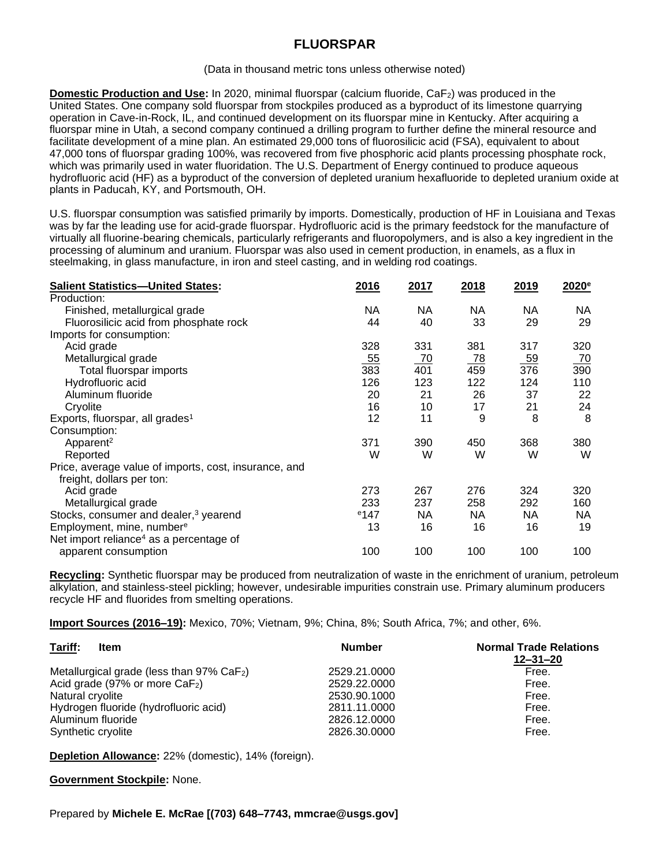## **FLUORSPAR**

## (Data in thousand metric tons unless otherwise noted)

**Domestic Production and Use:** In 2020, minimal fluorspar (calcium fluoride, CaF<sub>2</sub>) was produced in the United States. One company sold fluorspar from stockpiles produced as a byproduct of its limestone quarrying operation in Cave-in-Rock, IL, and continued development on its fluorspar mine in Kentucky. After acquiring a fluorspar mine in Utah, a second company continued a drilling program to further define the mineral resource and facilitate development of a mine plan. An estimated 29,000 tons of fluorosilicic acid (FSA), equivalent to about 47,000 tons of fluorspar grading 100%, was recovered from five phosphoric acid plants processing phosphate rock, which was primarily used in water fluoridation. The U.S. Department of Energy continued to produce aqueous hydrofluoric acid (HF) as a byproduct of the conversion of depleted uranium hexafluoride to depleted uranium oxide at plants in Paducah, KY, and Portsmouth, OH.

U.S. fluorspar consumption was satisfied primarily by imports. Domestically, production of HF in Louisiana and Texas was by far the leading use for acid-grade fluorspar. Hydrofluoric acid is the primary feedstock for the manufacture of virtually all fluorine-bearing chemicals, particularly refrigerants and fluoropolymers, and is also a key ingredient in the processing of aluminum and uranium. Fluorspar was also used in cement production, in enamels, as a flux in steelmaking, in glass manufacture, in iron and steel casting, and in welding rod coatings.

| <b>Salient Statistics-United States:</b>              | 2016    | 2017      | 2018      | 2019 | 2020 <sup>e</sup> |
|-------------------------------------------------------|---------|-----------|-----------|------|-------------------|
| Production:                                           |         |           |           |      |                   |
| Finished, metallurgical grade                         | NA      | NA.       | NA.       | NА   | ΝA                |
| Fluorosilicic acid from phosphate rock                | 44      | 40        | 33        | 29   | 29                |
| Imports for consumption:                              |         |           |           |      |                   |
| Acid grade                                            | 328     | 331       | 381       | 317  | 320               |
| Metallurgical grade                                   | 55      | <u>70</u> | <u>78</u> | 59   | 70                |
| Total fluorspar imports                               | 383     | 401       | 459       | 376  | 390               |
| Hydrofluoric acid                                     | 126     | 123       | 122       | 124  | 110               |
| Aluminum fluoride                                     | 20      | 21        | 26        | 37   | 22                |
| Cryolite                                              | 16      | 10        | 17        | 21   | 24                |
| Exports, fluorspar, all grades <sup>1</sup>           | 12      | 11        | 9         | 8    | 8                 |
| Consumption:                                          |         |           |           |      |                   |
| Apparent <sup>2</sup>                                 | 371     | 390       | 450       | 368  | 380               |
| Reported                                              | W       | W         | W         | W    | W                 |
| Price, average value of imports, cost, insurance, and |         |           |           |      |                   |
| freight, dollars per ton:                             |         |           |           |      |                   |
| Acid grade                                            | 273     | 267       | 276       | 324  | 320               |
| Metallurgical grade                                   | 233     | 237       | 258       | 292  | 160               |
| Stocks, consumer and dealer, <sup>3</sup> yearend     | $e$ 147 | NA.       | NA.       | NA.  | NA.               |
| Employment, mine, number <sup>e</sup>                 | 13      | 16        | 16        | 16   | 19                |
| Net import reliance <sup>4</sup> as a percentage of   |         |           |           |      |                   |
| apparent consumption                                  | 100     | 100       | 100       | 100  | 100               |

**Recycling:** Synthetic fluorspar may be produced from neutralization of waste in the enrichment of uranium, petroleum alkylation, and stainless-steel pickling; however, undesirable impurities constrain use. Primary aluminum producers recycle HF and fluorides from smelting operations.

**Import Sources (2016–19):** Mexico, 70%; Vietnam, 9%; China, 8%; South Africa, 7%; and other, 6%.

| Tariff:<br><b>Item</b>                                   | <b>Number</b> | <b>Normal Trade Relations</b><br>$12 - 31 - 20$ |
|----------------------------------------------------------|---------------|-------------------------------------------------|
| Metallurgical grade (less than $97\%$ CaF <sub>2</sub> ) | 2529.21.0000  | Free.                                           |
| Acid grade (97% or more CaF <sub>2</sub> )               | 2529.22.0000  | Free.                                           |
| Natural cryolite                                         | 2530.90.1000  | Free.                                           |
| Hydrogen fluoride (hydrofluoric acid)                    | 2811.11.0000  | Free.                                           |
| Aluminum fluoride                                        | 2826.12.0000  | Free.                                           |
| Synthetic cryolite                                       | 2826.30.0000  | Free.                                           |

**Depletion Allowance:** 22% (domestic), 14% (foreign).

**Government Stockpile:** None.

Prepared by **Michele E. McRae [(703) 648–7743, mmcrae@usgs.gov]**